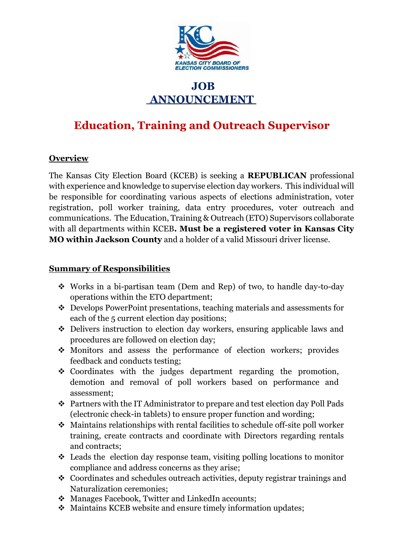

# **JOB ANNOUNCEMENT**

# **Education, Training and Outreach Supervisor**

#### **Overview**

The Kansas City Election Board (KCEB) is seeking a **REPUBLICAN** professional with experience and knowledge to supervise election day workers. This individual will be responsible for coordinating various aspects of elections administration, voter registration, poll worker training, data entry procedures, voter outreach and communications. The Education, Training & Outreach (ETO) Supervisors collaborate with all departments within KCEB**. Must be a registered voter in Kansas City MO within Jackson County** and a holder of a valid Missouri driver license.

#### **Summary of Responsibilities**

- Works in a bi-partisan team (Dem and Rep) of two, to handle day-to-day operations within the ETO department;
- Develops PowerPoint presentations, teaching materials and assessments for each of the 5 current election day positions;
- Delivers instruction to election day workers, ensuring applicable laws and procedures are followed on election day;
- Monitors and assess the performance of election workers; provides feedback and conducts testing;
- Coordinates with the judges department regarding the promotion, demotion and removal of poll workers based on performance and assessment;
- Partners with the IT Administrator to prepare and test election day Poll Pads (electronic check-in tablets) to ensure proper function and wording;
- Maintains relationships with rental facilities to schedule off-site poll worker training, create contracts and coordinate with Directors regarding rentals and contracts;
- $\triangle$  Leads the election day response team, visiting polling locations to monitor compliance and address concerns as they arise;
- Coordinates and schedules outreach activities, deputy registrar trainings and Naturalization ceremonies;
- ❖ Manages Facebook, Twitter and LinkedIn accounts;
- Maintains KCEB website and ensure timely information updates;